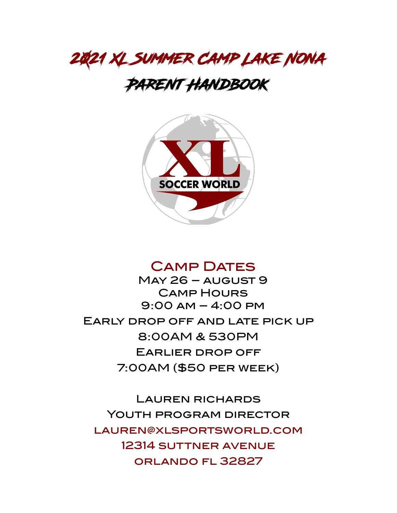

# Parent Handbook



## Camp Dates

May 26 – august 9 Camp Hours 9:00 am – 4:00 pm Early drop off and late pick up 8:00AM & 530PM Earlier drop off 7:00AM (\$50 per week)

Lauren richards Youth program director [lauren@xlsportsworld.com](mailto:lauren@xlsportsworld.com) 12314 suttner avenue orlando fl 32827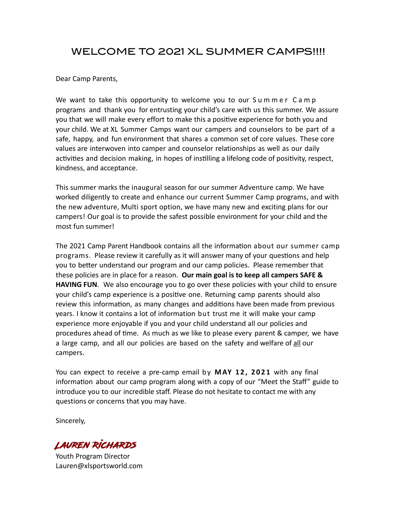## WELCOME TO 2021 XL SUMMER CAMPS!!!!

Dear Camp Parents,

We want to take this opportunity to welcome you to our Summer Camp programs and thank you for entrusting your child's care with us this summer. We assure you that we will make every effort to make this a positive experience for both you and your child. We at XL Summer Camps want our campers and counselors to be part of a safe, happy, and fun environment that shares a common set of core values. These core values are interwoven into camper and counselor relationships as well as our daily activities and decision making, in hopes of instilling a lifelong code of positivity, respect, kindness, and acceptance.

This summer marks the inaugural season for our summer Adventure camp. We have worked diligently to create and enhance our current Summer Camp programs, and with the new adventure, Multi sport option, we have many new and exciting plans for our campers! Our goal is to provide the safest possible environment for your child and the most fun summer!

The 2021 Camp Parent Handbook contains all the information about our summer camp programs. Please review it carefully as it will answer many of your questions and help you to beter understand our program and our camp policies. Please remember that these policies are in place for a reason. **Our main goal is to keep all campers SAFE & HAVING FUN**. We also encourage you to go over these policies with your child to ensure your child's camp experience is a positive one. Returning camp parents should also review this information, as many changes and additions have been made from previous years. I know it contains a lot of information but trust me it will make your camp experience more enjoyable if you and your child understand all our policies and procedures ahead of time. As much as we like to please every parent & camper, we have a large camp, and all our policies are based on the safety and welfare of all our campers.

You can expect to receive a pre-camp email by **MAY 12, 2021** with any final information about our camp program along with a copy of our "Meet the Staff" guide to introduce you to our incredible staff. Please do not hesitate to contact me with any questions or concerns that you may have.

Sincerely,

Lauren Richards

Youth Program Director Lauren@xlsportsworld.com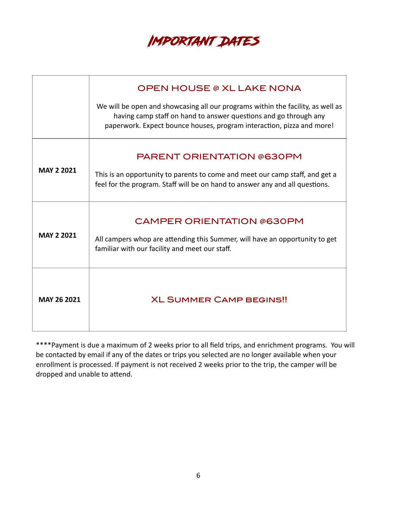

|                    | OPEN HOUSE @ XL LAKE NONA<br>We will be open and showcasing all our programs within the facility, as well as<br>having camp staff on hand to answer questions and go through any<br>paperwork. Expect bounce houses, program interaction, pizza and more! |
|--------------------|-----------------------------------------------------------------------------------------------------------------------------------------------------------------------------------------------------------------------------------------------------------|
| <b>MAY 2 2021</b>  | <b>PARENT ORIENTATION @630PM</b><br>This is an opportunity to parents to come and meet our camp staff, and get a<br>feel for the program. Staff will be on hand to answer any and all questions.                                                          |
| <b>MAY 2 2021</b>  | <b>CAMPER ORIENTATION @630PM</b><br>All campers whop are attending this Summer, will have an opportunity to get<br>familiar with our facility and meet our staff.                                                                                         |
| <b>MAY 26 2021</b> | <b>XL SUMMER CAMP BEGINS!!</b>                                                                                                                                                                                                                            |

\*\*\*\*Payment is due a maximum of 2 weeks prior to all field trips, and enrichment programs. You will be contacted by email if any of the dates or trips you selected are no longer available when your enrollment is processed. If payment is not received 2 weeks prior to the trip, the camper will be dropped and unable to attend.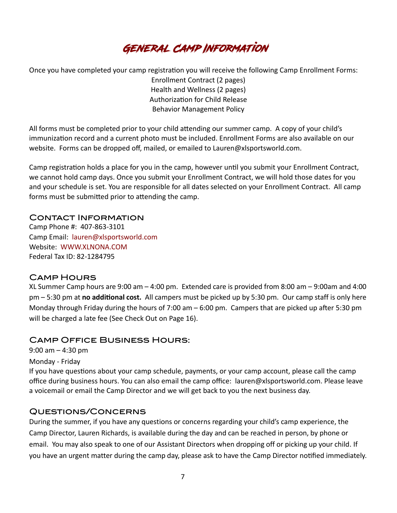

Once you have completed your camp registration you will receive the following Camp Enrollment Forms: Enrollment Contract (2 pages) Health and Wellness (2 pages) Authorization for Child Release Behavior Management Policy

All forms must be completed prior to your child attending our summer camp. A copy of your child's immunization record and a current photo must be included. Enrollment Forms are also available on our website. Forms can be dropped off, mailed, or emailed to Lauren@xlsportsworld.com.

Camp registration holds a place for you in the camp, however until you submit your Enrollment Contract, we cannot hold camp days. Once you submit your Enrollment Contract, we will hold those dates for you and your schedule is set. You are responsible for all dates selected on your Enrollment Contract. All camp forms must be submitted prior to attending the camp.

#### Contact Information

Camp Phone #: 407-863-3101 Camp Email: [lauren@xlsportsworld.com](mailto:lauren@xlsportsworld.com) Website: [WWW.XLNONA.COM](http://WWW.XLNONA.COM) Federal Tax ID: 82-1284795

#### Camp Hours

XL Summer Camp hours are 9:00 am – 4:00 pm. Extended care is provided from 8:00 am – 9:00am and 4:00 pm – 5:30 pm at **no additional cost.** All campers must be picked up by 5:30 pm. Our camp staff is only here Monday through Friday during the hours of 7:00 am – 6:00 pm. Campers that are picked up after 5:30 pm will be charged a late fee (See Check Out on Page 16).

#### Camp Office Business Hours:

9:00 am – 4:30 pm

Monday - Friday

If you have questions about your camp schedule, payments, or your camp account, please call the camp office during business hours. You can also email the camp office: lauren@xlsportsworld.com. Please leave a voicemail or email the Camp Director and we will get back to you the next business day.

#### Questions/Concerns

During the summer, if you have any questions or concerns regarding your child's camp experience, the Camp Director, Lauren Richards, is available during the day and can be reached in person, by phone or email. You may also speak to one of our Assistant Directors when dropping off or picking up your child. If you have an urgent matter during the camp day, please ask to have the Camp Director notified immediately.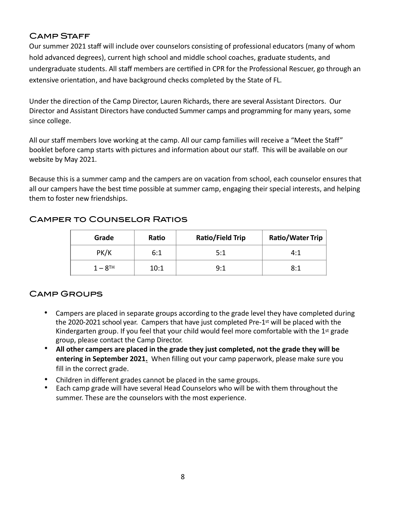## Camp Staff

Our summer 2021 staff will include over counselors consisting of professional educators (many of whom hold advanced degrees), current high school and middle school coaches, graduate students, and undergraduate students. All staf members are certfied in CPR for the Professional Rescuer, go through an extensive orientation, and have background checks completed by the State of FL.

Under the direction of the Camp Director, Lauren Richards, there are several Assistant Directors. Our Director and Assistant Directors have conducted Summer camps and programming for many years, some since college.

All our staff members love working at the camp. All our camp families will receive a "Meet the Staff" booklet before camp starts with pictures and information about our staff. This will be available on our website by May 2021.

Because this is a summer camp and the campers are on vacation from school, each counselor ensures that all our campers have the best time possible at summer camp, engaging their special interests, and helping them to foster new friendships.

| Grade                 | Ratio | <b>Ratio/Field Trip</b> | <b>Ratio/Water Trip</b> |
|-----------------------|-------|-------------------------|-------------------------|
| PK/K                  | 6:1   | 5:1                     | 4:1                     |
| $1 - 8$ <sup>TH</sup> | 10:1  | 9:1                     | 8:1                     |

## Camper to Counselor Ratios

## Camp Groups

- Campers are placed in separate groups according to the grade level they have completed during the 2020-2021 school year. Campers that have just completed Pre-1st will be placed with the Kindergarten group. If you feel that your child would feel more comfortable with the 1<sup>st</sup> grade group, please contact the Camp Director.
- **All other campers are placed in the grade they just completed, not the grade they will be entering in September 2021.** When filling out your camp paperwork, please make sure you fill in the correct grade.
- Children in different grades cannot be placed in the same groups.
- Each camp grade will have several Head Counselors who will be with them throughout the summer. These are the counselors with the most experience.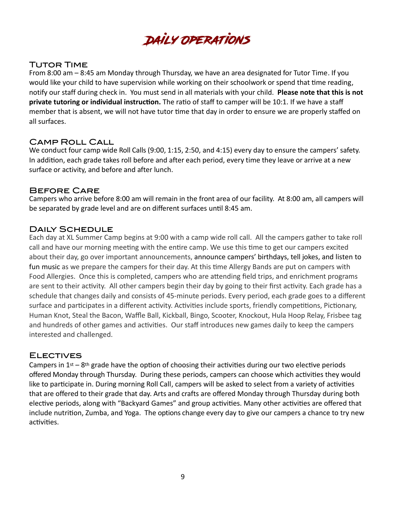Daily Operations

#### Tutor Time

From 8:00 am – 8:45 am Monday through Thursday, we have an area designated for Tutor Time. If you would like your child to have supervision while working on their schoolwork or spend that tme reading, notify our staff during check in. You must send in all materials with your child. **Please note that this is not private tutoring or individual instruction.** The ratio of staff to camper will be 10:1. If we have a staff member that is absent, we will not have tutor time that day in order to ensure we are properly staffed on all surfaces.

#### Camp Roll Call

We conduct four camp wide Roll Calls (9:00, 1:15, 2:50, and 4:15) every day to ensure the campers' safety. In addition, each grade takes roll before and after each period, every time they leave or arrive at a new surface or activity, and before and after lunch.

#### Before Care

Campers who arrive before 8:00 am will remain in the front area of our facility. At 8:00 am, all campers will be separated by grade level and are on different surfaces until 8:45 am.

#### Daily Schedule

Each day at XL Summer Camp begins at 9:00 with a camp wide roll call. All the campers gather to take roll call and have our morning meeting with the entire camp. We use this time to get our campers excited about their day, go over important announcements, announce campers' birthdays, tell jokes, and listen to fun music as we prepare the campers for their day. At this time Allergy Bands are put on campers with Food Allergies. Once this is completed, campers who are attending field trips, and enrichment programs are sent to their activity. All other campers begin their day by going to their first activity. Each grade has a schedule that changes daily and consists of 45-minute periods. Every period, each grade goes to a different surface and participates in a different activity. Activities include sports, friendly competitions, Pictionary, Human Knot, Steal the Bacon, Waffle Ball, Kickball, Bingo, Scooter, Knockout, Hula Hoop Relay, Frisbee tag and hundreds of other games and activities. Our staff introduces new games daily to keep the campers interested and challenged.

## **ELECTIVES**

Campers in  $1st - 8$ th grade have the option of choosing their activities during our two elective periods offered Monday through Thursday. During these periods, campers can choose which activities they would like to participate in. During morning Roll Call, campers will be asked to select from a variety of activities that are offered to their grade that day. Arts and crafts are offered Monday through Thursday during both elective periods, along with "Backyard Games" and group activities. Many other activities are offered that include nutrition, Zumba, and Yoga. The options change every day to give our campers a chance to try new activities.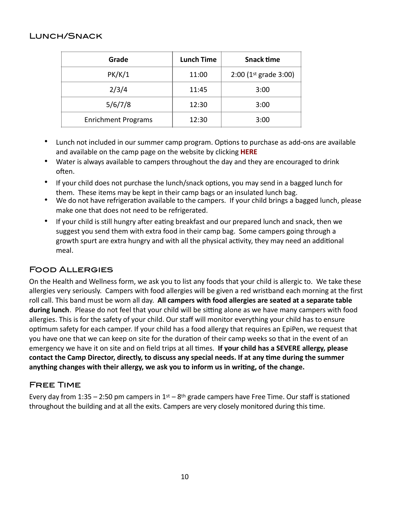#### Lunch/Snack

| Grade                      | <b>Lunch Time</b> | <b>Snack time</b>       |
|----------------------------|-------------------|-------------------------|
| PK/K/1                     | 11:00             | $2:00$ (1st grade 3:00) |
| 2/3/4                      | 11:45             | 3:00                    |
| 5/6/7/8                    | 12:30             | 3:00                    |
| <b>Enrichment Programs</b> | 12:30             | 3:00                    |

- Lunch not included in our summer camp program. Options to purchase as add-ons are available and available on the camp page on the website by clicking **[HERE](https://www.xlnona.com/sportscamps)**
- Water is always available to campers throughout the day and they are encouraged to drink often.
- If your child does not purchase the lunch/snack options, you may send in a bagged lunch for them. These items may be kept in their camp bags or an insulated lunch bag.
- We do not have refrigeration available to the campers. If your child brings a bagged lunch, please make one that does not need to be refrigerated.
- If your child is still hungry after eatng breakfast and our prepared lunch and snack, then we suggest you send them with extra food in their camp bag. Some campers going through a growth spurt are extra hungry and with all the physical activity, they may need an additonal meal.

## Food Allergies

On the Health and Wellness form, we ask you to list any foods that your child is allergic to. We take these allergies very seriously. Campers with food allergies will be given a red wristband each morning at the first roll call. This band must be worn all day. **All campers with food allergies are seated at a separate table during lunch**. Please do not feel that your child will be sitting alone as we have many campers with food allergies. This is for the safety of your child. Our staf will monitor everything your child has to ensure optmum safety for each camper. If your child has a food allergy that requires an EpiPen, we request that you have one that we can keep on site for the duration of their camp weeks so that in the event of an emergency we have it on site and on field trips at all times. **If your child has a SEVERE allergy, please contact the Camp Director, directly, to discuss any special needs. If at any time during the summer anything changes with their allergy, we ask you to inform us in writing, of the change.** 

## Free Time

Every day from 1:35 – 2:50 pm campers in  $1<sup>st</sup>$  – 8<sup>th</sup> grade campers have Free Time. Our staff is stationed throughout the building and at all the exits. Campers are very closely monitored during this time.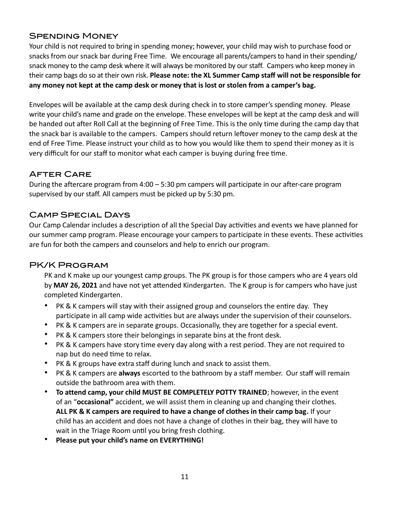## Spending Money

Your child is not required to bring in spending money; however, your child may wish to purchase food or snacks from our snack bar during Free Time. We encourage all parents/campers to hand in their spending/ snack money to the camp desk where it will always be monitored by our staff. Campers who keep money in their camp bags do so at their own risk. **Please note: the XL Summer Camp staff will not be responsible for any money not kept at the camp desk or money that is lost or stolen from a camper's bag.**

Envelopes will be available at the camp desk during check in to store camper's spending money. Please write your child's name and grade on the envelope. These envelopes will be kept at the camp desk and will be handed out after Roll Call at the beginning of Free Time. This is the only time during the camp day that the snack bar is available to the campers. Campers should return leftover money to the camp desk at the end of Free Time. Please instruct your child as to how you would like them to spend their money as it is very difficult for our staff to monitor what each camper is buying during free time.

## After Care

During the aftercare program from 4:00 – 5:30 pm campers will participate in our after-care program supervised by our staff. All campers must be picked up by 5:30 pm.

## Camp Special Days

Our Camp Calendar includes a description of all the Special Day activities and events we have planned for our summer camp program. Please encourage your campers to participate in these events. These activities are fun for both the campers and counselors and help to enrich our program.

## PK/K Program

PK and K make up our youngest camp groups. The PK group is for those campers who are 4 years old by **MAY 26, 2021** and have not yet attended Kindergarten. The K group is for campers who have just completed Kindergarten.

- PK & K campers will stay with their assigned group and counselors the entire day. They participate in all camp wide activities but are always under the supervision of their counselors.
- PK & K campers are in separate groups. Occasionally, they are together for a special event.
- PK & K campers store their belongings in separate bins at the front desk.
- PK & K campers have story time every day along with a rest period. They are not required to nap but do need time to relax.
- PK & K groups have extra staff during lunch and snack to assist them.
- PK & K campers are **always** escorted to the bathroom by a staff member. Our staff will remain outside the bathroom area with them.
- **To attend camp, your child MUST BE COMPLETELY POTTY TRAINED**; however, in the event of an "**occasional"** accident, we will assist them in cleaning up and changing their clothes. **ALL PK & K campers are required to have a change of clothes in their camp bag.** If your child has an accident and does not have a change of clothes in their bag, they will have to wait in the Triage Room until you bring fresh clothing.
- **Please put your child's name on EVERYTHING!**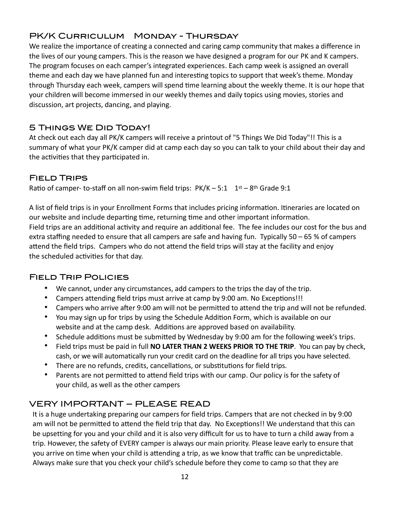## PK/K Curriculum Monday - Thursday

We realize the importance of creating a connected and caring camp community that makes a difference in the lives of our young campers. This is the reason we have designed a program for our PK and K campers. The program focuses on each camper's integrated experiences. Each camp week is assigned an overall theme and each day we have planned fun and interestng topics to support that week's theme. Monday through Thursday each week, campers will spend time learning about the weekly theme. It is our hope that your children will become immersed in our weekly themes and daily topics using movies, stories and discussion, art projects, dancing, and playing.

## 5 Things We Did Today!

At check out each day all PK/K campers will receive a printout of "5 Things We Did Today"!! This is a summary of what your PK/K camper did at camp each day so you can talk to your child about their day and the activities that they participated in.

## Field Trips

Ratio of camper- to-staff on all non-swim field trips:  $PK/K - 5:1 \quad 1^{st} - 8^{th}$  Grade 9:1

A list of field trips is in your Enrollment Forms that includes pricing information. Itineraries are located on our website and include departing time, returning time and other important information. Field trips are an additional activity and require an additional fee. The fee includes our cost for the bus and extra staffing needed to ensure that all campers are safe and having fun. Typically 50 – 65 % of campers attend the field trips. Campers who do not attend the field trips will stay at the facility and enjoy the scheduled activities for that day.

## Field Trip Policies

- We cannot, under any circumstances, add campers to the trips the day of the trip.
- Campers attending feld trips must arrive at camp by 9:00 am. No Exceptions!!!
- Campers who arrive after 9:00 am will not be permitted to attend the trip and will not be refunded.
- You may sign up for trips by using the Schedule Addition Form, which is available on our website and at the camp desk. Additions are approved based on availability.
- Schedule additions must be submited by Wednesday by 9:00 am for the following week's trips.
- Field trips must be paid in full **NO LATER THAN 2 WEEKS PRIOR TO THE TRIP**. You can pay by check, cash, or we will automatically run your credit card on the deadline for all trips you have selected.
- There are no refunds, credits, cancellations, or substitutions for field trips.
- Parents are not permitted to attend field trips with our camp. Our policy is for the safety of your child, as well as the other campers

## VERY IMPORTANT – PLEASE READ

It is a huge undertaking preparing our campers for field trips. Campers that are not checked in by 9:00 am will not be permitted to attend the field trip that day. No Exceptions!! We understand that this can be upsetting for you and your child and it is also very diffcult for us to have to turn a child away from a trip. However, the safety of EVERY camper is always our main priority. Please leave early to ensure that you arrive on time when your child is attending a trip, as we know that traffic can be unpredictable. Always make sure that you check your child's schedule before they come to camp so that they are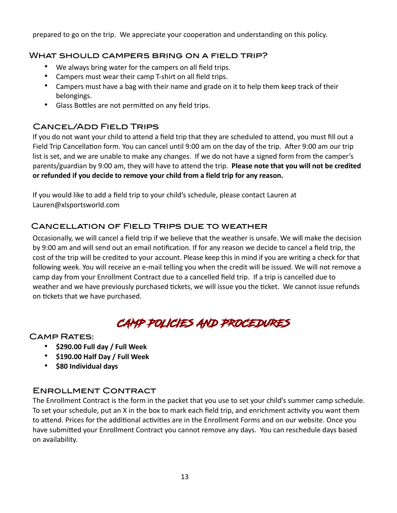prepared to go on the trip. We appreciate your cooperation and understanding on this policy.

## What should campers bring on a field trip?

- We always bring water for the campers on all field trips.
- Campers must wear their camp T-shirt on all field trips.
- Campers must have a bag with their name and grade on it to help them keep track of their belongings.
- Glass Bottles are not permitted on any field trips.

## Cancel/Add Field Trips

If you do not want your child to attend a feld trip that they are scheduled to attend, you must fill out a Field Trip Cancellaton form. You can cancel until 9:00 am on the day of the trip. After 9:00 am our trip list is set, and we are unable to make any changes. If we do not have a signed form from the camper's parents/guardian by 9:00 am, they will have to attend the trip. **Please note that you will not be credited or refunded if you decide to remove your child from a field trip for any reason.**

If you would like to add a field trip to your child's schedule, please contact Lauren at Lauren@xlsportsworld.com

## Cancellation of Field Trips due to weather

Occasionally, we will cancel a field trip if we believe that the weather is unsafe. We will make the decision by 9:00 am and will send out an email notifcation. If for any reason we decide to cancel a field trip, the cost of the trip will be credited to your account. Please keep this in mind if you are writing a check for that following week. You will receive an e-mail telling you when the credit will be issued. We will not remove a camp day from your Enrollment Contract due to a cancelled field trip. If a trip is cancelled due to weather and we have previously purchased tickets, we will issue you the ticket. We cannot issue refunds on tickets that we have purchased.

## CAMP POLICIES AND PROCEDURES

## Camp Rates:

- **\$290.00 Full day / Full Week**
- **\$190.00 Half Day / Full Week**
- **\$80 Individual days**

## Enrollment Contract

The Enrollment Contract is the form in the packet that you use to set your child's summer camp schedule. To set your schedule, put an X in the box to mark each field trip, and enrichment activity you want them to attend. Prices for the additional activities are in the Enrollment Forms and on our website. Once you have submitted your Enrollment Contract you cannot remove any days. You can reschedule days based on availability.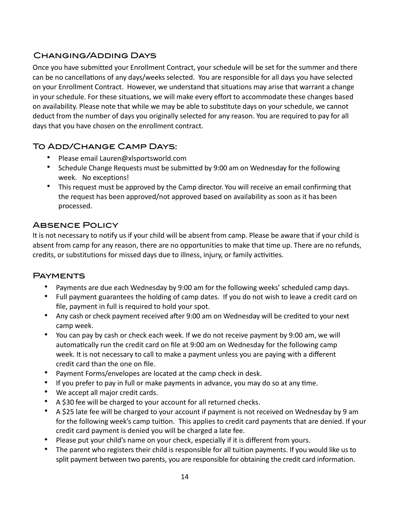## Changing/Adding Days

Once you have submitted your Enrollment Contract, your schedule will be set for the summer and there can be no cancellatons of any days/weeks selected. You are responsible for all days you have selected on your Enrollment Contract. However, we understand that situations may arise that warrant a change in your schedule. For these situations, we will make every effort to accommodate these changes based on availability. Please note that while we may be able to substitute days on your schedule, we cannot deduct from the number of days you originally selected for any reason. You are required to pay for all days that you have chosen on the enrollment contract.

## To Add/Change Camp Days:

- Please email Lauren@xlsportsworld.com
- Schedule Change Requests must be submitted by 9:00 am on Wednesday for the following week. No exceptions!
- This request must be approved by the Camp director. You will receive an email confirming that the request has been approved/not approved based on availability as soon as it has been processed.

## **ABSENCE POLICY**

It is not necessary to notify us if your child will be absent from camp. Please be aware that if your child is absent from camp for any reason, there are no opportunities to make that time up. There are no refunds, credits, or substitutions for missed days due to illness, injury, or family activities.

## **PAYMENTS**

- Payments are due each Wednesday by 9:00 am for the following weeks' scheduled camp days.
- Full payment guarantees the holding of camp dates. If you do not wish to leave a credit card on file, payment in full is required to hold your spot.
- Any cash or check payment received after 9:00 am on Wednesday will be credited to your next camp week.
- You can pay by cash or check each week. If we do not receive payment by 9:00 am, we will automatically run the credit card on file at 9:00 am on Wednesday for the following camp week. It is not necessary to call to make a payment unless you are paying with a different credit card than the one on file.
- Payment Forms/envelopes are located at the camp check in desk.
- If you prefer to pay in full or make payments in advance, you may do so at any time.
- We accept all major credit cards.
- A \$30 fee will be charged to your account for all returned checks.
- A \$25 late fee will be charged to your account if payment is not received on Wednesday by 9 am for the following week's camp tuition. This applies to credit card payments that are denied. If your credit card payment is denied you will be charged a late fee.
- Please put your child's name on your check, especially if it is different from yours.
- The parent who registers their child is responsible for all tuition payments. If you would like us to split payment between two parents, you are responsible for obtaining the credit card information.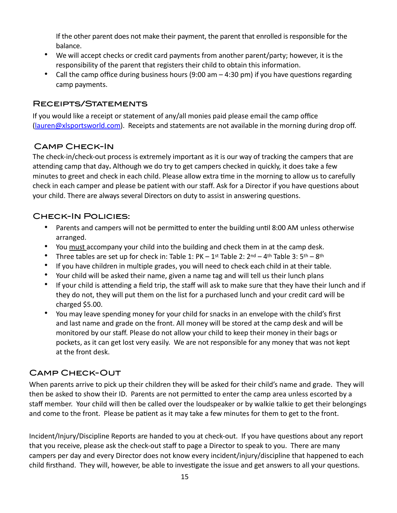If the other parent does not make their payment, the parent that enrolled is responsible for the balance.

- We will accept checks or credit card payments from another parent/party; however, it is the responsibility of the parent that registers their child to obtain this information.
- Call the camp office during business hours (9:00 am 4:30 pm) if you have questions regarding camp payments.

## Receipts/Statements

If you would like a receipt or statement of any/all monies paid please email the camp office [\(lauren@xlsportsworld.com\)](mailto:lauren@xlsportsworld.com). Receipts and statements are not available in the morning during drop off.

## Camp Check-In

The check-in/check-out process is extremely important as it is our way of tracking the campers that are attending camp that day**.** Although we do try to get campers checked in quickly, it does take a few minutes to greet and check in each child. Please allow extra time in the morning to allow us to carefully check in each camper and please be patient with our staff. Ask for a Director if you have questions about your child. There are always several Directors on duty to assist in answering questions.

## Check-In Policies:

- Parents and campers will not be permited to enter the building until 8:00 AM unless otherwise arranged.
- You must accompany your child into the building and check them in at the camp desk.
- Three tables are set up for check in: Table 1: PK 1st Table 2: 2nd 4th Table 3: 5th 8th
- If you have children in multiple grades, you will need to check each child in at their table.
- Your child will be asked their name, given a name tag and will tell us their lunch plans
- If your child is attending a field trip, the staff will ask to make sure that they have their lunch and if they do not, they will put them on the list for a purchased lunch and your credit card will be charged \$5.00.
- You may leave spending money for your child for snacks in an envelope with the child's first and last name and grade on the front. All money will be stored at the camp desk and will be monitored by our staff. Please do not allow your child to keep their money in their bags or pockets, as it can get lost very easily. We are not responsible for any money that was not kept at the front desk.

## Camp Check-Out

When parents arrive to pick up their children they will be asked for their child's name and grade. They will then be asked to show their ID. Parents are not permitted to enter the camp area unless escorted by a staff member. Your child will then be called over the loudspeaker or by walkie talkie to get their belongings and come to the front. Please be patient as it may take a few minutes for them to get to the front.

Incident/Injury/Discipline Reports are handed to you at check-out. If you have questions about any report that you receive, please ask the check-out staff to page a Director to speak to you. There are many campers per day and every Director does not know every incident/injury/discipline that happened to each child firsthand. They will, however, be able to investigate the issue and get answers to all your questions.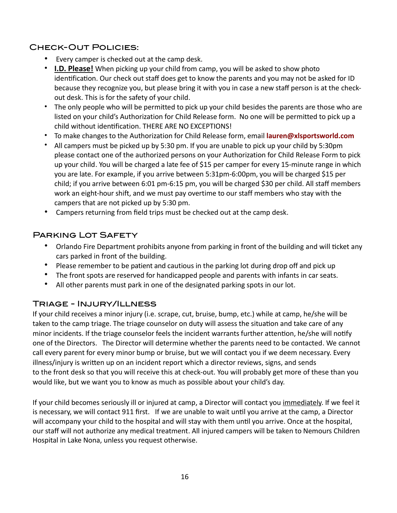## Check-Out Policies:

- Every camper is checked out at the camp desk.
- **I.D. Please!** When picking up your child from camp, you will be asked to show photo identification. Our check out staff does get to know the parents and you may not be asked for ID because they recognize you, but please bring it with you in case a new staff person is at the checkout desk. This is for the safety of your child.
- The only people who will be permitted to pick up your child besides the parents are those who are listed on your child's Authorization for Child Release form. No one will be permitted to pick up a child without identfication. THERE ARE NO EXCEPTIONS!
- To make changes to the Authorization for Child Release form, email **[lauren@xlsportsworld.com](mailto:lauren@xlsportsworld.com)**
- All campers must be picked up by 5:30 pm. If you are unable to pick up your child by 5:30pm please contact one of the authorized persons on your Authorization for Child Release Form to pick up your child. You will be charged a late fee of \$15 per camper for every 15-minute range in which you are late. For example, if you arrive between 5:31pm-6:00pm, you will be charged \$15 per child; if you arrive between 6:01 pm-6:15 pm, you will be charged \$30 per child. All staff members work an eight-hour shift, and we must pay overtime to our staff members who stay with the campers that are not picked up by 5:30 pm.
- Campers returning from field trips must be checked out at the camp desk.

## Parking Lot Safety

- Orlando Fire Department prohibits anyone from parking in front of the building and will ticket any cars parked in front of the building.
- Please remember to be patient and cautious in the parking lot during drop off and pick up
- The front spots are reserved for handicapped people and parents with infants in car seats.
- All other parents must park in one of the designated parking spots in our lot.

## Triage - Injury/Illness

If your child receives a minor injury (i.e. scrape, cut, bruise, bump, etc.) while at camp, he/she will be taken to the camp triage. The triage counselor on duty will assess the situation and take care of any minor incidents. If the triage counselor feels the incident warrants further attention, he/she will notfy one of the Directors. The Director will determine whether the parents need to be contacted. We cannot call every parent for every minor bump or bruise, but we will contact you if we deem necessary. Every illness/injury is written up on an incident report which a director reviews, signs, and sends to the front desk so that you will receive this at check-out. You will probably get more of these than you would like, but we want you to know as much as possible about your child's day.

If your child becomes seriously ill or injured at camp, a Director will contact you immediately. If we feel it is necessary, we will contact 911 first. If we are unable to wait until you arrive at the camp, a Director will accompany your child to the hospital and will stay with them until you arrive. Once at the hospital, our staff will not authorize any medical treatment. All injured campers will be taken to Nemours Children Hospital in Lake Nona, unless you request otherwise.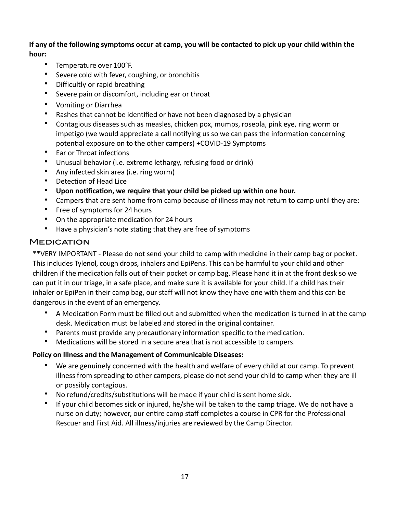**If any of the following symptoms occur at camp, you will be contacted to pick up your child within the hour:**

- Temperature over 100°F.
- Severe cold with fever, coughing, or bronchitis
- Difficultly or rapid breathing
- Severe pain or discomfort, including ear or throat
- Vomiting or Diarrhea
- Rashes that cannot be identified or have not been diagnosed by a physician
- Contagious diseases such as measles, chicken pox, mumps, roseola, pink eye, ring worm or impetigo (we would appreciate a call notifying us so we can pass the information concerning potential exposure on to the other campers) +COVID-19 Symptoms
- Ear or Throat infections
- Unusual behavior (i.e. extreme lethargy, refusing food or drink)
- Any infected skin area (i.e. ring worm)
- Detection of Head Lice
- **Upon notfication, we require that your child be picked up within one hour.**
- Campers that are sent home from camp because of illness may not return to camp until they are:
- Free of symptoms for 24 hours
- On the appropriate medication for 24 hours
- Have a physician's note stating that they are free of symptoms

## **MEDICATION**

\*\*VERY IMPORTANT - Please do not send your child to camp with medicine in their camp bag or pocket. This includes Tylenol, cough drops, inhalers and EpiPens. This can be harmful to your child and other children if the medication falls out of their pocket or camp bag. Please hand it in at the front desk so we can put it in our triage, in a safe place, and make sure it is available for your child. If a child has their inhaler or EpiPen in their camp bag, our staff will not know they have one with them and this can be dangerous in the event of an emergency.

- A Medication Form must be filled out and submitted when the medication is turned in at the camp desk. Medication must be labeled and stored in the original container.
- Parents must provide any precautionary information specific to the medication.
- Medications will be stored in a secure area that is not accessible to campers.

#### **Policy on Illness and the Management of Communicable Diseases:**

- We are genuinely concerned with the health and welfare of every child at our camp. To prevent illness from spreading to other campers, please do not send your child to camp when they are ill or possibly contagious.
- No refund/credits/substitutions will be made if your child is sent home sick.
- If your child becomes sick or injured, he/she will be taken to the camp triage. We do not have a nurse on duty; however, our entire camp staf completes a course in CPR for the Professional Rescuer and First Aid. All illness/injuries are reviewed by the Camp Director.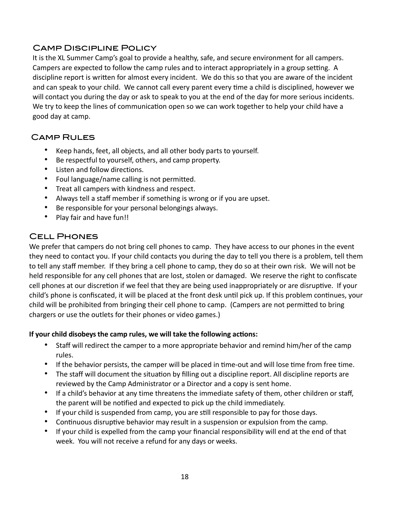## Camp Discipline Policy

It is the XL Summer Camp's goal to provide a healthy, safe, and secure environment for all campers. Campers are expected to follow the camp rules and to interact appropriately in a group setting. A discipline report is written for almost every incident. We do this so that you are aware of the incident and can speak to your child. We cannot call every parent every time a child is disciplined, however we will contact you during the day or ask to speak to you at the end of the day for more serious incidents. We try to keep the lines of communication open so we can work together to help your child have a good day at camp.

## Camp Rules

- Keep hands, feet, all objects, and all other body parts to yourself.
- Be respectful to yourself, others, and camp property.
- Listen and follow directions.
- Foul language/name calling is not permitted.
- Treat all campers with kindness and respect.
- Always tell a staff member if something is wrong or if you are upset.
- Be responsible for your personal belongings always.
- Play fair and have fun!!

## Cell Phones

We prefer that campers do not bring cell phones to camp. They have access to our phones in the event they need to contact you. If your child contacts you during the day to tell you there is a problem, tell them to tell any staff member. If they bring a cell phone to camp, they do so at their own risk. We will not be held responsible for any cell phones that are lost, stolen or damaged. We reserve the right to confiscate cell phones at our discretion if we feel that they are being used inappropriately or are disruptive. If your child's phone is confiscated, it will be placed at the front desk until pick up. If this problem continues, your child will be prohibited from bringing their cell phone to camp. (Campers are not permitted to bring chargers or use the outlets for their phones or video games.)

#### **If your child disobeysthe camp rules, we will take the following actions:**

- Staff will redirect the camper to a more appropriate behavior and remind him/her of the camp rules.
- If the behavior persists, the camper will be placed in time-out and will lose time from free time.
- The staff will document the situation by filling out a discipline report. All discipline reports are reviewed by the Camp Administrator or a Director and a copy is sent home.
- If a child's behavior at any time threatens the immediate safety of them, other children or staff, the parent will be notfied and expected to pick up the child immediately.
- If your child is suspended from camp, you are still responsible to pay for those days.
- Continuous disruptive behavior may result in a suspension or expulsion from the camp.
- If your child is expelled from the camp your financial responsibility will end at the end of that week. You will not receive a refund for any days or weeks.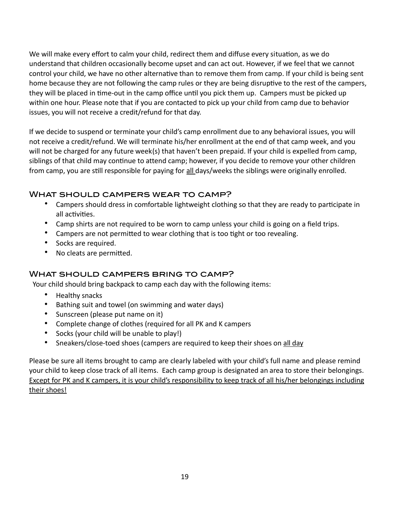We will make every effort to calm your child, redirect them and diffuse every situation, as we do understand that children occasionally become upset and can act out. However, if we feel that we cannot control your child, we have no other alternative than to remove them from camp. If your child is being sent home because they are not following the camp rules or they are being disruptive to the rest of the campers, they will be placed in time-out in the camp office until you pick them up. Campers must be picked up within one hour. Please note that if you are contacted to pick up your child from camp due to behavior issues, you will not receive a credit/refund for that day.

If we decide to suspend or terminate your child's camp enrollment due to any behavioral issues, you will not receive a credit/refund. We will terminate his/her enrollment at the end of that camp week, and you will not be charged for any future week(s) that haven't been prepaid. If your child is expelled from camp, siblings of that child may continue to attend camp; however, if you decide to remove your other children from camp, you are still responsible for paying for all days/weeks the siblings were originally enrolled.

## WHAT SHOULD CAMPERS WEAR TO CAMP?

- Campers should dress in comfortable lightweight clothing so that they are ready to participate in all activities.
- Camp shirts are not required to be worn to camp unless your child is going on a field trips.
- Campers are not permitted to wear clothing that is too tight or too revealing.
- Socks are required.
- No cleats are permitted.

## What should campers bring to camp?

Your child should bring backpack to camp each day with the following items:

- Healthy snacks
- Bathing suit and towel (on swimming and water days)
- Sunscreen (please put name on it)
- Complete change of clothes (required for all PK and K campers
- Socks (your child will be unable to play!)
- Sneakers/close-toed shoes (campers are required to keep their shoes on all day

Please be sure all items brought to camp are clearly labeled with your child's full name and please remind your child to keep close track of all items. Each camp group is designated an area to store their belongings. Except for PK and K campers, it is your child's responsibility to keep track of all his/her belongings including their shoes!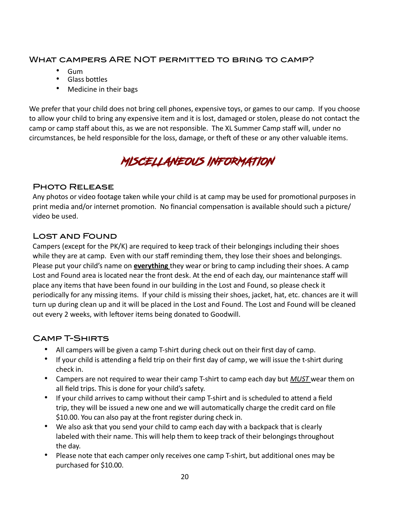## What campers ARE NOT permitted to bring to camp?

- Gum
- Glass bottles
- Medicine in their bags

We prefer that your child does not bring cell phones, expensive toys, or games to our camp. If you choose to allow your child to bring any expensive item and it is lost, damaged or stolen, please do not contact the camp or camp staff about this, as we are not responsible. The XL Summer Camp staff will, under no circumstances, be held responsible for the loss, damage, or theft of these or any other valuable items.

# MISCELLANEOUS INFORMATION

## Photo Release

Any photos or video footage taken while your child is at camp may be used for promotonal purposes in print media and/or internet promotion. No financial compensation is available should such a picture/ video be used.

## Lost and Found

Campers (except for the PK/K) are required to keep track of their belongings including their shoes while they are at camp. Even with our staff reminding them, they lose their shoes and belongings. Please put your child's name on **everything** they wear or bring to camp including their shoes. A camp Lost and Found area is located near the front desk. At the end of each day, our maintenance staff will place any items that have been found in our building in the Lost and Found, so please check it periodically for any missing items. If your child is missing their shoes, jacket, hat, etc. chances are it will turn up during clean up and it will be placed in the Lost and Found. The Lost and Found will be cleaned out every 2 weeks, with leftover items being donated to Goodwill.

## Camp T-Shirts

- All campers will be given a camp T-shirt during check out on their first day of camp.
- If your child is atending a field trip on their first day of camp, we will issue the t-shirt during check in.
- Campers are not required to wear their camp T-shirt to camp each day but *MUST* wear them on all field trips. This is done for your child's safety.
- If your child arrives to camp without their camp T-shirt and is scheduled to attend a field trip, they will be issued a new one and we will automatically charge the credit card on fle \$10.00. You can also pay at the front register during check in.
- We also ask that you send your child to camp each day with a backpack that is clearly labeled with their name. This will help them to keep track of their belongings throughout the day.
- Please note that each camper only receives one camp T-shirt, but additional ones may be purchased for \$10.00.